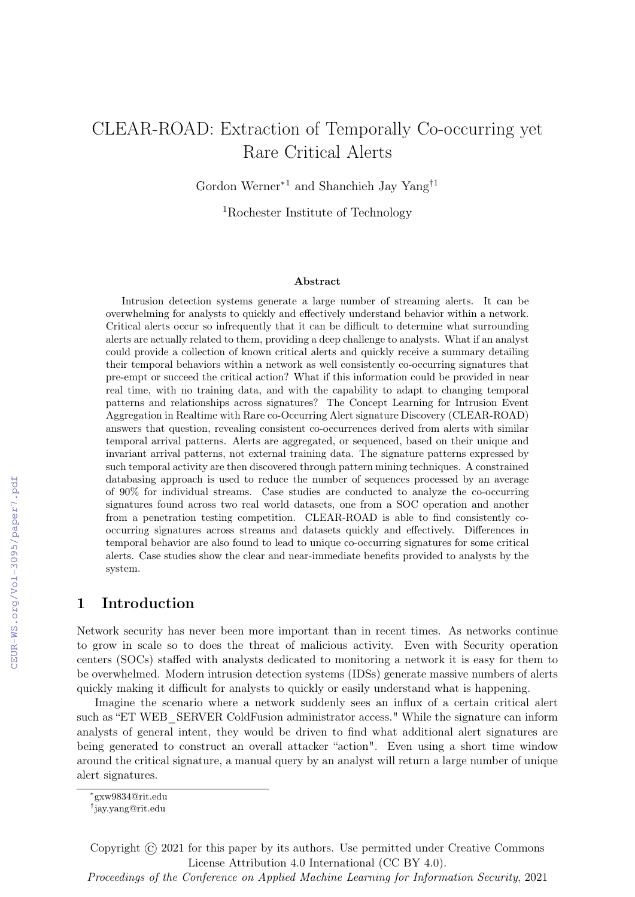# CLEAR-ROAD: Extraction of Temporally Co-occurring yet Rare Critical Alerts

Gordon Werner∗1 and Shanchieh Jay Yang†1

<sup>1</sup>Rochester Institute of Technology

#### Abstract

Intrusion detection systems generate a large number of streaming alerts. It can be overwhelming for analysts to quickly and effectively understand behavior within a network. Critical alerts occur so infrequently that it can be difficult to determine what surrounding alerts are actually related to them, providing a deep challenge to analysts. What if an analyst could provide a collection of known critical alerts and quickly receive a summary detailing their temporal behaviors within a network as well consistently co-occurring signatures that pre-empt or succeed the critical action? What if this information could be provided in near real time, with no training data, and with the capability to adapt to changing temporal patterns and relationships across signatures? The Concept Learning for Intrusion Event Aggregation in Realtime with Rare co-Occurring Alert signature Discovery (CLEAR-ROAD) answers that question, revealing consistent co-occurrences derived from alerts with similar temporal arrival patterns. Alerts are aggregated, or sequenced, based on their unique and invariant arrival patterns, not external training data. The signature patterns expressed by such temporal activity are then discovered through pattern mining techniques. A constrained databasing approach is used to reduce the number of sequences processed by an average of 90% for individual streams. Case studies are conducted to analyze the co-occurring signatures found across two real world datasets, one from a SOC operation and another from a penetration testing competition. CLEAR-ROAD is able to find consistently cooccurring signatures across streams and datasets quickly and effectively. Differences in temporal behavior are also found to lead to unique co-occurring signatures for some critical alerts. Case studies show the clear and near-immediate benefits provided to analysts by the system.

## 1 Introduction

Network security has never been more important than in recent times. As networks continue to grow in scale so to does the threat of malicious activity. Even with Security operation centers (SOCs) staffed with analysts dedicated to monitoring a network it is easy for them to be overwhelmed. Modern intrusion detection systems (IDSs) generate massive numbers of alerts quickly making it difficult for analysts to quickly or easily understand what is happening.

Imagine the scenario where a network suddenly sees an influx of a certain critical alert such as "ET WEB\_SERVER ColdFusion administrator access." While the signature can inform analysts of general intent, they would be driven to find what additional alert signatures are being generated to construct an overall attacker "action". Even using a short time window around the critical signature, a manual query by an analyst will return a large number of unique alert signatures.

Copyright © 2021 for this paper by its authors. Use permitted under Creative Commons License Attribution 4.0 International (CC BY 4.0).

Proceedings of the Conference on Applied Machine Learning for Information Security, 2021

<sup>∗</sup> gxw9834@rit.edu

<sup>†</sup> jay.yang@rit.edu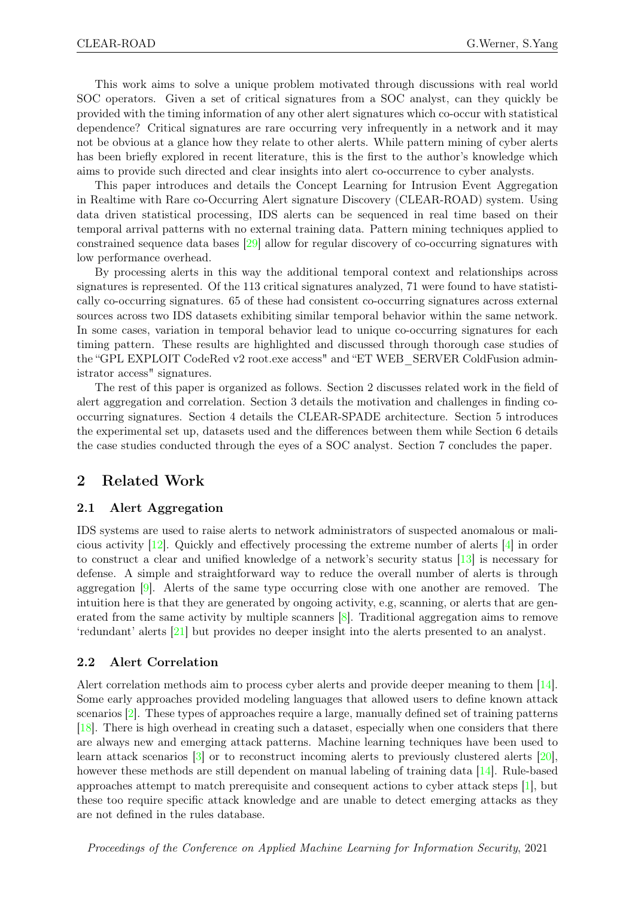This work aims to solve a unique problem motivated through discussions with real world SOC operators. Given a set of critical signatures from a SOC analyst, can they quickly be provided with the timing information of any other alert signatures which co-occur with statistical dependence? Critical signatures are rare occurring very infrequently in a network and it may not be obvious at a glance how they relate to other alerts. While pattern mining of cyber alerts has been briefly explored in recent literature, this is the first to the author's knowledge which aims to provide such directed and clear insights into alert co-occurrence to cyber analysts.

This paper introduces and details the Concept Learning for Intrusion Event Aggregation in Realtime with Rare co-Occurring Alert signature Discovery (CLEAR-ROAD) system. Using data driven statistical processing, IDS alerts can be sequenced in real time based on their temporal arrival patterns with no external training data. Pattern mining techniques applied to constrained sequence data bases [\[29\]](#page-14-0) allow for regular discovery of co-occurring signatures with low performance overhead.

By processing alerts in this way the additional temporal context and relationships across signatures is represented. Of the 113 critical signatures analyzed, 71 were found to have statistically co-occurring signatures. 65 of these had consistent co-occurring signatures across external sources across two IDS datasets exhibiting similar temporal behavior within the same network. In some cases, variation in temporal behavior lead to unique co-occurring signatures for each timing pattern. These results are highlighted and discussed through thorough case studies of the "GPL EXPLOIT CodeRed v2 root.exe access" and "ET WEB\_SERVER ColdFusion administrator access" signatures.

The rest of this paper is organized as follows. Section 2 discusses related work in the field of alert aggregation and correlation. Section 3 details the motivation and challenges in finding cooccurring signatures. Section 4 details the CLEAR-SPADE architecture. Section 5 introduces the experimental set up, datasets used and the differences between them while Section 6 details the case studies conducted through the eyes of a SOC analyst. Section 7 concludes the paper.

## 2 Related Work

#### 2.1 Alert Aggregation

IDS systems are used to raise alerts to network administrators of suspected anomalous or malicious activity [\[12\]](#page-13-0). Quickly and effectively processing the extreme number of alerts [\[4\]](#page-12-0) in order to construct a clear and unified knowledge of a network's security status [\[13\]](#page-13-1) is necessary for defense. A simple and straightforward way to reduce the overall number of alerts is through aggregation [\[9\]](#page-12-1). Alerts of the same type occurring close with one another are removed. The intuition here is that they are generated by ongoing activity, e.g, scanning, or alerts that are generated from the same activity by multiple scanners [\[8\]](#page-12-2). Traditional aggregation aims to remove 'redundant' alerts [\[21\]](#page-13-2) but provides no deeper insight into the alerts presented to an analyst.

#### 2.2 Alert Correlation

Alert correlation methods aim to process cyber alerts and provide deeper meaning to them [\[14\]](#page-13-3). Some early approaches provided modeling languages that allowed users to define known attack scenarios [\[2\]](#page-12-3). These types of approaches require a large, manually defined set of training patterns [\[18\]](#page-13-4). There is high overhead in creating such a dataset, especially when one considers that there are always new and emerging attack patterns. Machine learning techniques have been used to learn attack scenarios [\[3\]](#page-12-4) or to reconstruct incoming alerts to previously clustered alerts [\[20\]](#page-13-5), however these methods are still dependent on manual labeling of training data [\[14\]](#page-13-3). Rule-based approaches attempt to match prerequisite and consequent actions to cyber attack steps [\[1\]](#page-12-5), but these too require specific attack knowledge and are unable to detect emerging attacks as they are not defined in the rules database.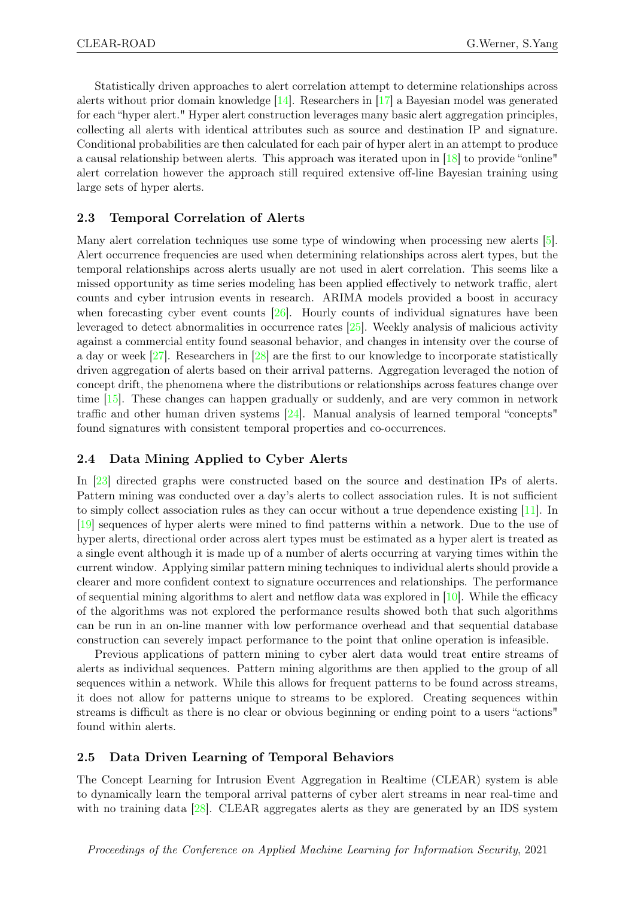Statistically driven approaches to alert correlation attempt to determine relationships across alerts without prior domain knowledge [\[14\]](#page-13-3). Researchers in [\[17\]](#page-13-6) a Bayesian model was generated for each "hyper alert." Hyper alert construction leverages many basic alert aggregation principles, collecting all alerts with identical attributes such as source and destination IP and signature. Conditional probabilities are then calculated for each pair of hyper alert in an attempt to produce a causal relationship between alerts. This approach was iterated upon in [\[18\]](#page-13-4) to provide "online" alert correlation however the approach still required extensive off-line Bayesian training using large sets of hyper alerts.

#### 2.3 Temporal Correlation of Alerts

Many alert correlation techniques use some type of windowing when processing new alerts [\[5\]](#page-12-6). Alert occurrence frequencies are used when determining relationships across alert types, but the temporal relationships across alerts usually are not used in alert correlation. This seems like a missed opportunity as time series modeling has been applied effectively to network traffic, alert counts and cyber intrusion events in research. ARIMA models provided a boost in accuracy when forecasting cyber event counts  $[26]$ . Hourly counts of individual signatures have been leveraged to detect abnormalities in occurrence rates [\[25\]](#page-13-8). Weekly analysis of malicious activity against a commercial entity found seasonal behavior, and changes in intensity over the course of a day or week [\[27\]](#page-13-9). Researchers in [\[28\]](#page-14-1) are the first to our knowledge to incorporate statistically driven aggregation of alerts based on their arrival patterns. Aggregation leveraged the notion of concept drift, the phenomena where the distributions or relationships across features change over time [\[15\]](#page-13-10). These changes can happen gradually or suddenly, and are very common in network traffic and other human driven systems [\[24\]](#page-13-11). Manual analysis of learned temporal "concepts" found signatures with consistent temporal properties and co-occurrences.

#### 2.4 Data Mining Applied to Cyber Alerts

In [\[23\]](#page-13-12) directed graphs were constructed based on the source and destination IPs of alerts. Pattern mining was conducted over a day's alerts to collect association rules. It is not sufficient to simply collect association rules as they can occur without a true dependence existing [\[11\]](#page-13-13). In [\[19\]](#page-13-14) sequences of hyper alerts were mined to find patterns within a network. Due to the use of hyper alerts, directional order across alert types must be estimated as a hyper alert is treated as a single event although it is made up of a number of alerts occurring at varying times within the current window. Applying similar pattern mining techniques to individual alerts should provide a clearer and more confident context to signature occurrences and relationships. The performance of sequential mining algorithms to alert and netflow data was explored in  $[10]$ . While the efficacy of the algorithms was not explored the performance results showed both that such algorithms can be run in an on-line manner with low performance overhead and that sequential database construction can severely impact performance to the point that online operation is infeasible.

Previous applications of pattern mining to cyber alert data would treat entire streams of alerts as individual sequences. Pattern mining algorithms are then applied to the group of all sequences within a network. While this allows for frequent patterns to be found across streams, it does not allow for patterns unique to streams to be explored. Creating sequences within streams is difficult as there is no clear or obvious beginning or ending point to a users "actions" found within alerts.

#### 2.5 Data Driven Learning of Temporal Behaviors

The Concept Learning for Intrusion Event Aggregation in Realtime (CLEAR) system is able to dynamically learn the temporal arrival patterns of cyber alert streams in near real-time and with no training data [\[28\]](#page-14-1). CLEAR aggregates alerts as they are generated by an IDS system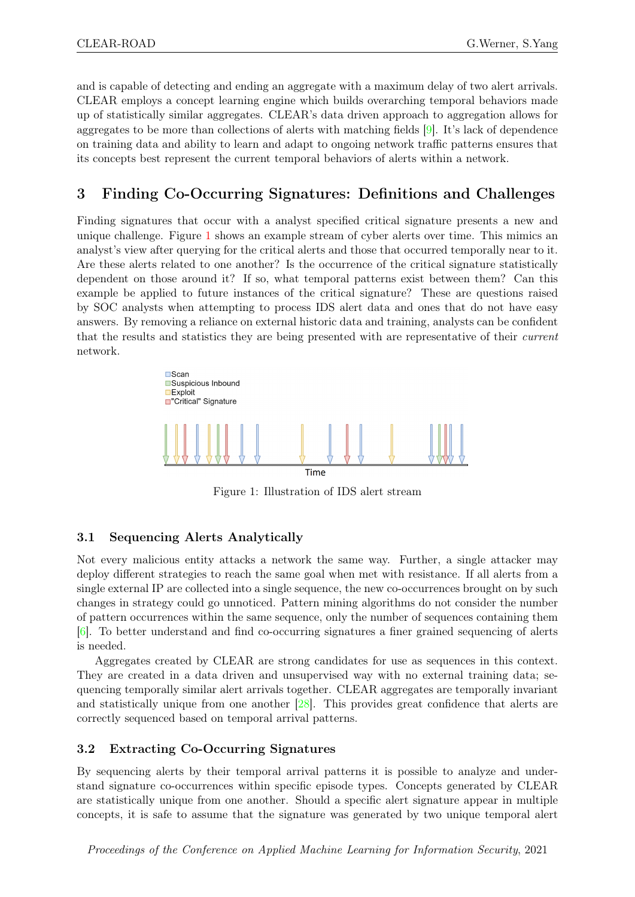and is capable of detecting and ending an aggregate with a maximum delay of two alert arrivals. CLEAR employs a concept learning engine which builds overarching temporal behaviors made up of statistically similar aggregates. CLEAR's data driven approach to aggregation allows for aggregates to be more than collections of alerts with matching fields [\[9\]](#page-12-1). It's lack of dependence on training data and ability to learn and adapt to ongoing network traffic patterns ensures that its concepts best represent the current temporal behaviors of alerts within a network.

## 3 Finding Co-Occurring Signatures: Definitions and Challenges

Finding signatures that occur with a analyst specified critical signature presents a new and unique challenge. Figure [1](#page-3-0) shows an example stream of cyber alerts over time. This mimics an analyst's view after querying for the critical alerts and those that occurred temporally near to it. Are these alerts related to one another? Is the occurrence of the critical signature statistically dependent on those around it? If so, what temporal patterns exist between them? Can this example be applied to future instances of the critical signature? These are questions raised by SOC analysts when attempting to process IDS alert data and ones that do not have easy answers. By removing a reliance on external historic data and training, analysts can be confident that the results and statistics they are being presented with are representative of their current network.



<span id="page-3-0"></span>Figure 1: Illustration of IDS alert stream

## 3.1 Sequencing Alerts Analytically

Not every malicious entity attacks a network the same way. Further, a single attacker may deploy different strategies to reach the same goal when met with resistance. If all alerts from a single external IP are collected into a single sequence, the new co-occurrences brought on by such changes in strategy could go unnoticed. Pattern mining algorithms do not consider the number of pattern occurrences within the same sequence, only the number of sequences containing them [\[6\]](#page-12-8). To better understand and find co-occurring signatures a finer grained sequencing of alerts is needed.

Aggregates created by CLEAR are strong candidates for use as sequences in this context. They are created in a data driven and unsupervised way with no external training data; sequencing temporally similar alert arrivals together. CLEAR aggregates are temporally invariant and statistically unique from one another [\[28\]](#page-14-1). This provides great confidence that alerts are correctly sequenced based on temporal arrival patterns.

## 3.2 Extracting Co-Occurring Signatures

By sequencing alerts by their temporal arrival patterns it is possible to analyze and understand signature co-occurrences within specific episode types. Concepts generated by CLEAR are statistically unique from one another. Should a specific alert signature appear in multiple concepts, it is safe to assume that the signature was generated by two unique temporal alert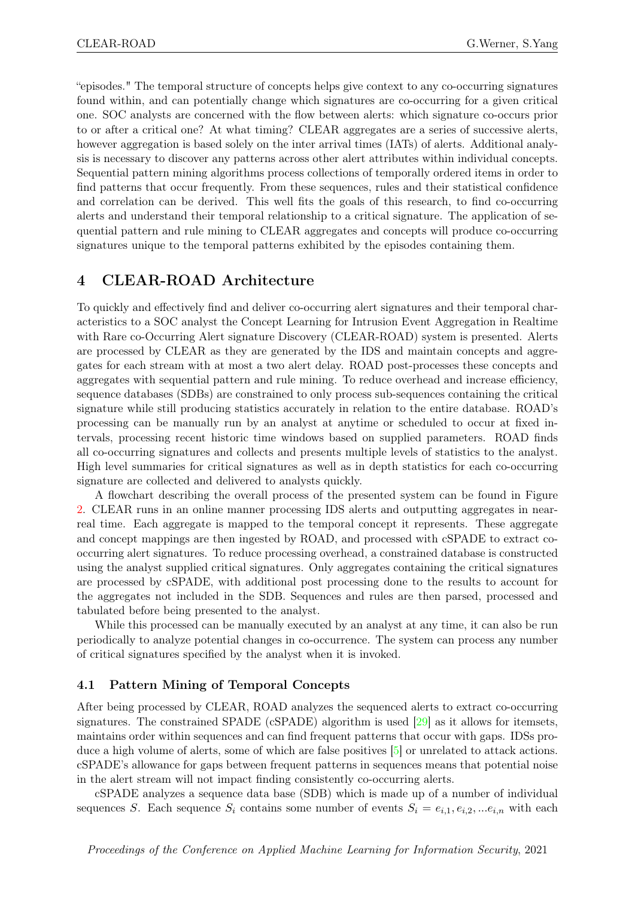"episodes." The temporal structure of concepts helps give context to any co-occurring signatures found within, and can potentially change which signatures are co-occurring for a given critical one. SOC analysts are concerned with the flow between alerts: which signature co-occurs prior to or after a critical one? At what timing? CLEAR aggregates are a series of successive alerts, however aggregation is based solely on the inter arrival times (IATs) of alerts. Additional analysis is necessary to discover any patterns across other alert attributes within individual concepts. Sequential pattern mining algorithms process collections of temporally ordered items in order to find patterns that occur frequently. From these sequences, rules and their statistical confidence and correlation can be derived. This well fits the goals of this research, to find co-occurring alerts and understand their temporal relationship to a critical signature. The application of sequential pattern and rule mining to CLEAR aggregates and concepts will produce co-occurring signatures unique to the temporal patterns exhibited by the episodes containing them.

## 4 CLEAR-ROAD Architecture

To quickly and effectively find and deliver co-occurring alert signatures and their temporal characteristics to a SOC analyst the Concept Learning for Intrusion Event Aggregation in Realtime with Rare co-Occurring Alert signature Discovery (CLEAR-ROAD) system is presented. Alerts are processed by CLEAR as they are generated by the IDS and maintain concepts and aggregates for each stream with at most a two alert delay. ROAD post-processes these concepts and aggregates with sequential pattern and rule mining. To reduce overhead and increase efficiency, sequence databases (SDBs) are constrained to only process sub-sequences containing the critical signature while still producing statistics accurately in relation to the entire database. ROAD's processing can be manually run by an analyst at anytime or scheduled to occur at fixed intervals, processing recent historic time windows based on supplied parameters. ROAD finds all co-occurring signatures and collects and presents multiple levels of statistics to the analyst. High level summaries for critical signatures as well as in depth statistics for each co-occurring signature are collected and delivered to analysts quickly.

A flowchart describing the overall process of the presented system can be found in Figure [2.](#page-5-0) CLEAR runs in an online manner processing IDS alerts and outputting aggregates in nearreal time. Each aggregate is mapped to the temporal concept it represents. These aggregate and concept mappings are then ingested by ROAD, and processed with cSPADE to extract cooccurring alert signatures. To reduce processing overhead, a constrained database is constructed using the analyst supplied critical signatures. Only aggregates containing the critical signatures are processed by cSPADE, with additional post processing done to the results to account for the aggregates not included in the SDB. Sequences and rules are then parsed, processed and tabulated before being presented to the analyst.

While this processed can be manually executed by an analyst at any time, it can also be run periodically to analyze potential changes in co-occurrence. The system can process any number of critical signatures specified by the analyst when it is invoked.

#### 4.1 Pattern Mining of Temporal Concepts

After being processed by CLEAR, ROAD analyzes the sequenced alerts to extract co-occurring signatures. The constrained SPADE (cSPADE) algorithm is used [\[29\]](#page-14-0) as it allows for itemsets, maintains order within sequences and can find frequent patterns that occur with gaps. IDSs produce a high volume of alerts, some of which are false positives [\[5\]](#page-12-6) or unrelated to attack actions. cSPADE's allowance for gaps between frequent patterns in sequences means that potential noise in the alert stream will not impact finding consistently co-occurring alerts.

cSPADE analyzes a sequence data base (SDB) which is made up of a number of individual sequences S. Each sequence  $S_i$  contains some number of events  $S_i = e_{i,1}, e_{i,2}, \dots e_{i,n}$  with each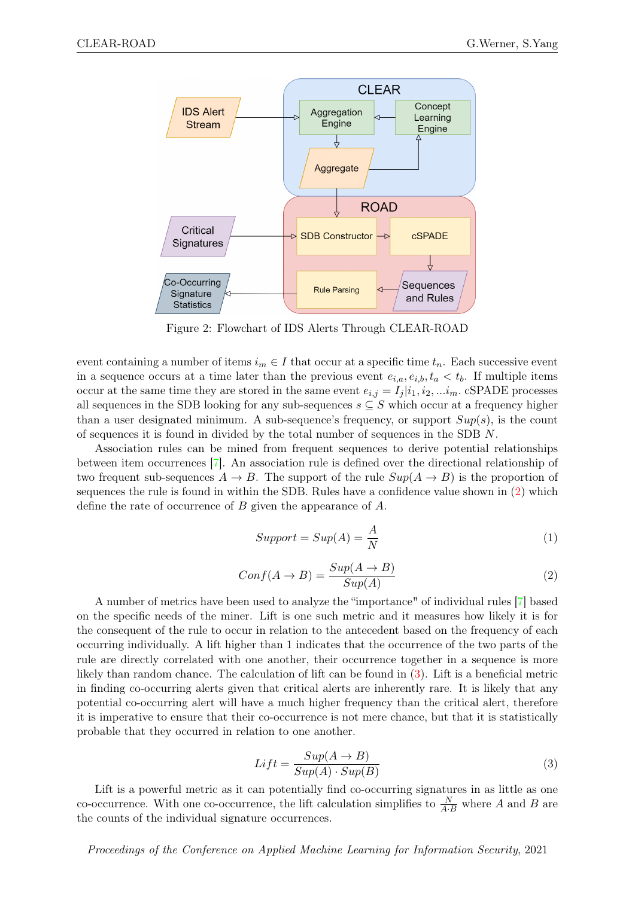

<span id="page-5-0"></span>Figure 2: Flowchart of IDS Alerts Through CLEAR-ROAD

event containing a number of items  $i_m \in I$  that occur at a specific time  $t_n$ . Each successive event in a sequence occurs at a time later than the previous event  $e_{i,a}, e_{i,b}, t_a < t_b$ . If multiple items occur at the same time they are stored in the same event  $e_{i,j} = I_j | i_1, i_2, \ldots i_m$ . cSPADE processes all sequences in the SDB looking for any sub-sequences  $s \subseteq S$  which occur at a frequency higher than a user designated minimum. A sub-sequence's frequency, or support  $Sup(s)$ , is the count of sequences it is found in divided by the total number of sequences in the SDB N.

Association rules can be mined from frequent sequences to derive potential relationships between item occurrences [\[7\]](#page-12-9). An association rule is defined over the directional relationship of two frequent sub-sequences  $A \to B$ . The support of the rule  $Sup(A \to B)$  is the proportion of sequences the rule is found in within the SDB. Rules have a confidence value shown in [\(2\)](#page-5-1) which define the rate of occurrence of B given the appearance of A.

$$
Support = Sup(A) = \frac{A}{N}
$$
\n(1)

<span id="page-5-1"></span>
$$
Conf(A \to B) = \frac{Sup(A \to B)}{Sup(A)}
$$
\n(2)

A number of metrics have been used to analyze the "importance" of individual rules [\[7\]](#page-12-9) based on the specific needs of the miner. Lift is one such metric and it measures how likely it is for the consequent of the rule to occur in relation to the antecedent based on the frequency of each occurring individually. A lift higher than 1 indicates that the occurrence of the two parts of the rule are directly correlated with one another, their occurrence together in a sequence is more likely than random chance. The calculation of lift can be found in [\(3\)](#page-5-2). Lift is a beneficial metric in finding co-occurring alerts given that critical alerts are inherently rare. It is likely that any potential co-occurring alert will have a much higher frequency than the critical alert, therefore it is imperative to ensure that their co-occurrence is not mere chance, but that it is statistically probable that they occurred in relation to one another.

<span id="page-5-2"></span>
$$
Lift = \frac{Sup(A \to B)}{Sup(A) \cdot Sup(B)}\tag{3}
$$

Lift is a powerful metric as it can potentially find co-occurring signatures in as little as one co-occurrence. With one co-occurrence, the lift calculation simplifies to  $\frac{N}{A \cdot B}$  where A and B are the counts of the individual signature occurrences.

#### Proceedings of the Conference on Applied Machine Learning for Information Security, 2021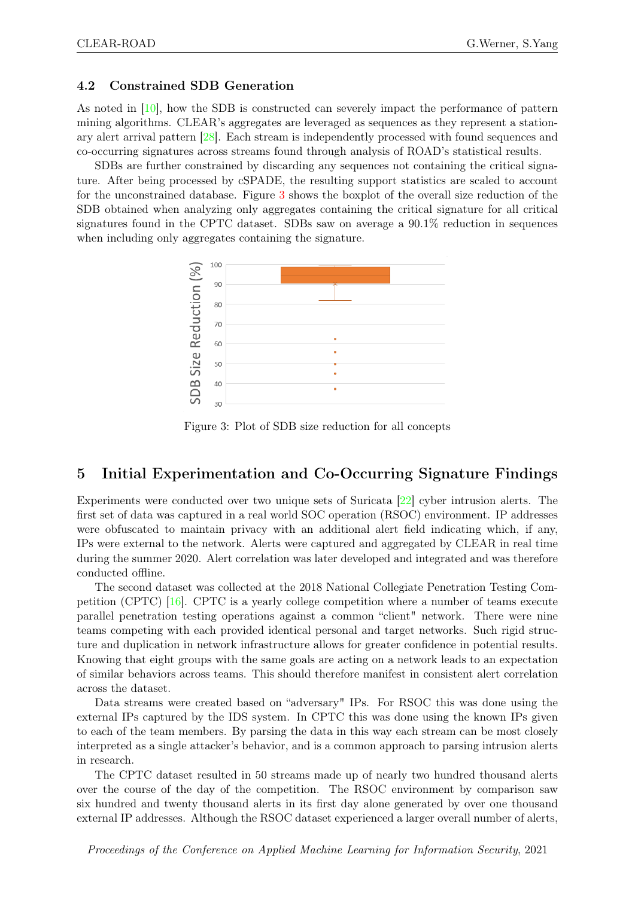#### 4.2 Constrained SDB Generation

As noted in [\[10\]](#page-12-7), how the SDB is constructed can severely impact the performance of pattern mining algorithms. CLEAR's aggregates are leveraged as sequences as they represent a stationary alert arrival pattern [\[28\]](#page-14-1). Each stream is independently processed with found sequences and co-occurring signatures across streams found through analysis of ROAD's statistical results.

SDBs are further constrained by discarding any sequences not containing the critical signature. After being processed by cSPADE, the resulting support statistics are scaled to account for the unconstrained database. Figure [3](#page-6-0) shows the boxplot of the overall size reduction of the SDB obtained when analyzing only aggregates containing the critical signature for all critical signatures found in the CPTC dataset. SDBs saw on average a 90.1% reduction in sequences when including only aggregates containing the signature.



<span id="page-6-0"></span>Figure 3: Plot of SDB size reduction for all concepts

## 5 Initial Experimentation and Co-Occurring Signature Findings

Experiments were conducted over two unique sets of Suricata [\[22\]](#page-13-15) cyber intrusion alerts. The first set of data was captured in a real world SOC operation (RSOC) environment. IP addresses were obfuscated to maintain privacy with an additional alert field indicating which, if any, IPs were external to the network. Alerts were captured and aggregated by CLEAR in real time during the summer 2020. Alert correlation was later developed and integrated and was therefore conducted offline.

The second dataset was collected at the 2018 National Collegiate Penetration Testing Competition (CPTC) [\[16\]](#page-13-16). CPTC is a yearly college competition where a number of teams execute parallel penetration testing operations against a common "client" network. There were nine teams competing with each provided identical personal and target networks. Such rigid structure and duplication in network infrastructure allows for greater confidence in potential results. Knowing that eight groups with the same goals are acting on a network leads to an expectation of similar behaviors across teams. This should therefore manifest in consistent alert correlation across the dataset.

Data streams were created based on "adversary" IPs. For RSOC this was done using the external IPs captured by the IDS system. In CPTC this was done using the known IPs given to each of the team members. By parsing the data in this way each stream can be most closely interpreted as a single attacker's behavior, and is a common approach to parsing intrusion alerts in research.

The CPTC dataset resulted in 50 streams made up of nearly two hundred thousand alerts over the course of the day of the competition. The RSOC environment by comparison saw six hundred and twenty thousand alerts in its first day alone generated by over one thousand external IP addresses. Although the RSOC dataset experienced a larger overall number of alerts,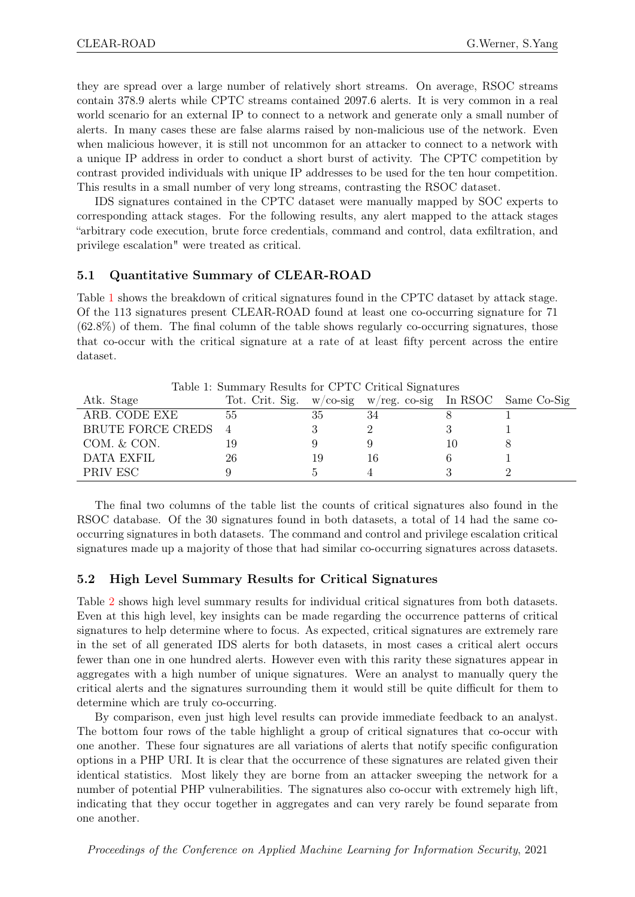they are spread over a large number of relatively short streams. On average, RSOC streams contain 378.9 alerts while CPTC streams contained 2097.6 alerts. It is very common in a real world scenario for an external IP to connect to a network and generate only a small number of alerts. In many cases these are false alarms raised by non-malicious use of the network. Even when malicious however, it is still not uncommon for an attacker to connect to a network with a unique IP address in order to conduct a short burst of activity. The CPTC competition by contrast provided individuals with unique IP addresses to be used for the ten hour competition. This results in a small number of very long streams, contrasting the RSOC dataset.

IDS signatures contained in the CPTC dataset were manually mapped by SOC experts to corresponding attack stages. For the following results, any alert mapped to the attack stages "arbitrary code execution, brute force credentials, command and control, data exfiltration, and privilege escalation" were treated as critical.

#### 5.1 Quantitative Summary of CLEAR-ROAD

Table [1](#page-7-0) shows the breakdown of critical signatures found in the CPTC dataset by attack stage. Of the 113 signatures present CLEAR-ROAD found at least one co-occurring signature for 71  $(62.8\%)$  of them. The final column of the table shows regularly co-occurring signatures, those that co-occur with the critical signature at a rate of at least fifty percent across the entire dataset.

| Atk. Stage        | Tot. Crit. Sig. |    | $w$ /co-sig $w$ /reg. co-sig In RSOC Same Co-Sig |  |
|-------------------|-----------------|----|--------------------------------------------------|--|
| ARB. CODE EXE     | 55              | 35 | 34                                               |  |
| BRUTE FORCE CREDS |                 |    |                                                  |  |
| COM. & CON.       |                 |    |                                                  |  |
| <b>DATA EXFIL</b> | 26              | 19 | 16                                               |  |
| PRIV ESC          |                 |    |                                                  |  |

<span id="page-7-0"></span>Table 1: Summary Results for CPTC Critical Signatures

The final two columns of the table list the counts of critical signatures also found in the RSOC database. Of the 30 signatures found in both datasets, a total of 14 had the same cooccurring signatures in both datasets. The command and control and privilege escalation critical signatures made up a majority of those that had similar co-occurring signatures across datasets.

### 5.2 High Level Summary Results for Critical Signatures

Table [2](#page-8-0) shows high level summary results for individual critical signatures from both datasets. Even at this high level, key insights can be made regarding the occurrence patterns of critical signatures to help determine where to focus. As expected, critical signatures are extremely rare in the set of all generated IDS alerts for both datasets, in most cases a critical alert occurs fewer than one in one hundred alerts. However even with this rarity these signatures appear in aggregates with a high number of unique signatures. Were an analyst to manually query the critical alerts and the signatures surrounding them it would still be quite difficult for them to determine which are truly co-occurring.

By comparison, even just high level results can provide immediate feedback to an analyst. The bottom four rows of the table highlight a group of critical signatures that co-occur with one another. These four signatures are all variations of alerts that notify specific configuration options in a PHP URI. It is clear that the occurrence of these signatures are related given their identical statistics. Most likely they are borne from an attacker sweeping the network for a number of potential PHP vulnerabilities. The signatures also co-occur with extremely high lift, indicating that they occur together in aggregates and can very rarely be found separate from one another.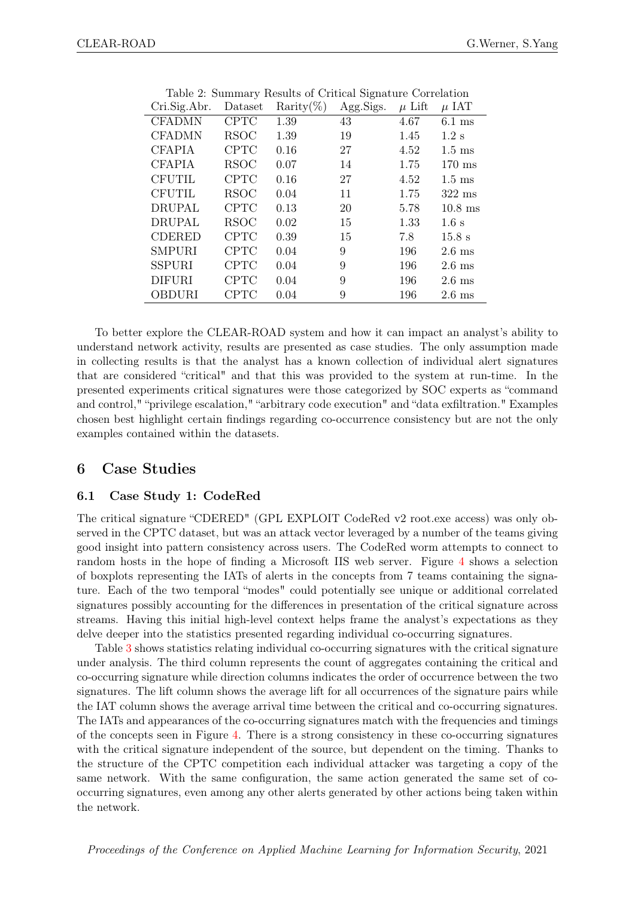| Cri.Sig.Abr.  | Dataset     | Rarity $(\%)$ | Agg.Sigs. | $\mu$ Lift | $\mu$ IAT        |
|---------------|-------------|---------------|-----------|------------|------------------|
| <b>CFADMN</b> | <b>CPTC</b> | 1.39          | 43        | 4.67       | $6.1$ ms         |
| <b>CFADMN</b> | <b>RSOC</b> | 1.39          | 19        | 1.45       | $1.2$ s          |
| <b>CFAPIA</b> | <b>CPTC</b> | 0.16          | 27        | 4.52       | $1.5 \text{ ms}$ |
| <b>CFAPIA</b> | RSOC        | 0.07          | 14        | 1.75       | $170$ ms         |
| <b>CFUTIL</b> | <b>CPTC</b> | 0.16          | 27        | 4.52       | $1.5 \text{ ms}$ |
| <b>CFUTIL</b> | <b>RSOC</b> | 0.04          | 11        | 1.75       | $322$ ms         |
| <b>DRUPAL</b> | <b>CPTC</b> | 0.13          | 20        | 5.78       | $10.8$ ms        |
| <b>DRUPAL</b> | <b>RSOC</b> | 0.02          | 15        | 1.33       | 1.6 s            |
| <b>CDERED</b> | <b>CPTC</b> | 0.39          | 15        | 7.8        | 15.8 s           |
| <b>SMPURI</b> | <b>CPTC</b> | 0.04          | 9         | 196        | $2.6 \text{ ms}$ |
| <b>SSPURI</b> | <b>CPTC</b> | 0.04          | 9         | 196        | $2.6 \text{ ms}$ |
| <b>DIFURI</b> | <b>CPTC</b> | 0.04          | 9         | 196        | $2.6 \text{ ms}$ |
| <b>OBDURI</b> | <b>CPTC</b> | 0.04          | 9         | 196        | $2.6$ ms         |
|               |             |               |           |            |                  |

<span id="page-8-0"></span>Table 2: Summary Results of Critical Signature Correlation

To better explore the CLEAR-ROAD system and how it can impact an analyst's ability to understand network activity, results are presented as case studies. The only assumption made in collecting results is that the analyst has a known collection of individual alert signatures that are considered "critical" and that this was provided to the system at run-time. In the presented experiments critical signatures were those categorized by SOC experts as "command and control," "privilege escalation," "arbitrary code execution" and "data exfiltration." Examples chosen best highlight certain findings regarding co-occurrence consistency but are not the only examples contained within the datasets.

### 6 Case Studies

#### 6.1 Case Study 1: CodeRed

The critical signature "CDERED" (GPL EXPLOIT CodeRed v2 root.exe access) was only observed in the CPTC dataset, but was an attack vector leveraged by a number of the teams giving good insight into pattern consistency across users. The CodeRed worm attempts to connect to random hosts in the hope of finding a Microsoft IIS web server. Figure [4](#page-9-0) shows a selection of boxplots representing the IATs of alerts in the concepts from 7 teams containing the signature. Each of the two temporal "modes" could potentially see unique or additional correlated signatures possibly accounting for the differences in presentation of the critical signature across streams. Having this initial high-level context helps frame the analyst's expectations as they delve deeper into the statistics presented regarding individual co-occurring signatures.

Table [3](#page-9-1) shows statistics relating individual co-occurring signatures with the critical signature under analysis. The third column represents the count of aggregates containing the critical and co-occurring signature while direction columns indicates the order of occurrence between the two signatures. The lift column shows the average lift for all occurrences of the signature pairs while the IAT column shows the average arrival time between the critical and co-occurring signatures. The IATs and appearances of the co-occurring signatures match with the frequencies and timings of the concepts seen in Figure [4.](#page-9-0) There is a strong consistency in these co-occurring signatures with the critical signature independent of the source, but dependent on the timing. Thanks to the structure of the CPTC competition each individual attacker was targeting a copy of the same network. With the same configuration, the same action generated the same set of cooccurring signatures, even among any other alerts generated by other actions being taken within the network.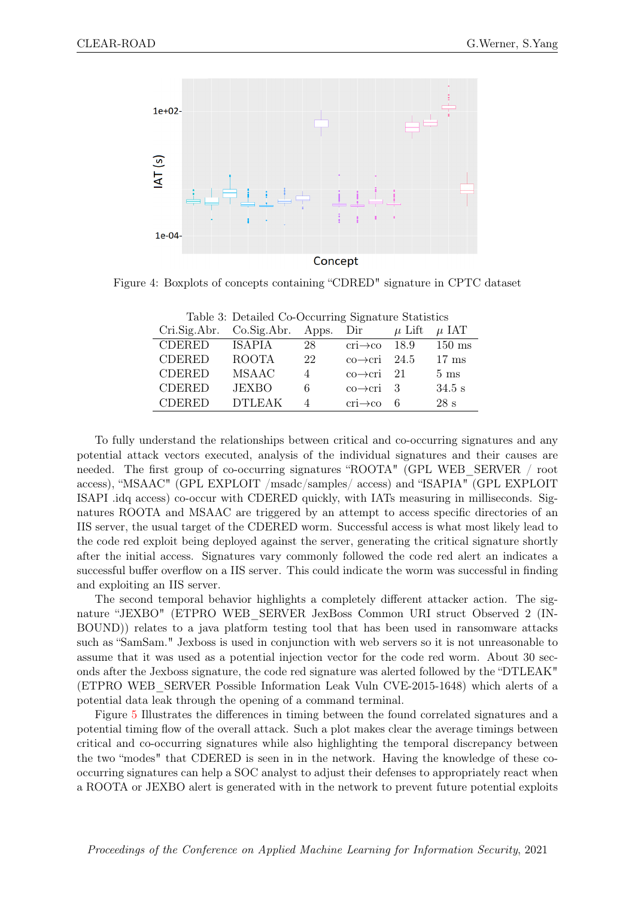

Concept

Figure 4: Boxplots of concepts containing "CDRED" signature in CPTC dataset

| Cri.Sig.Abr.  | Co.Sig.Abr.   | Apps. | Dir                                   | $\mu$ Lift | $\mu$ IAT        |
|---------------|---------------|-------|---------------------------------------|------------|------------------|
| <b>CDERED</b> | <b>ISAPIA</b> | 28    | $\chi$                                | 18.9       | $150 \text{ ms}$ |
| <b>CDERED</b> | <b>ROOTA</b>  | 22    | $\text{co}\rightarrow\text{cri}$ 24.5 |            | $17 \text{ ms}$  |
| <b>CDERED</b> | <b>MSAAC</b>  |       | $\text{co}\rightarrow\text{cri}$ 21   |            | $5 \text{ ms}$   |
| <b>CDERED</b> | <b>JEXBO</b>  | 6     | $\text{co}\rightarrow\text{cri}$ 3    |            | $34.5$ s         |
| <b>CDERED</b> | <b>DTLEAK</b> |       | $cri \rightarrow co$                  | 6          | 28s              |

<span id="page-9-1"></span><span id="page-9-0"></span>Table 3: Detailed Co-Occurring Signature Statistics

To fully understand the relationships between critical and co-occurring signatures and any potential attack vectors executed, analysis of the individual signatures and their causes are needed. The first group of co-occurring signatures "ROOTA" (GPL WEB\_SERVER / root access), "MSAAC" (GPL EXPLOIT /msadc/samples/ access) and "ISAPIA" (GPL EXPLOIT ISAPI .idq access) co-occur with CDERED quickly, with IATs measuring in milliseconds. Signatures ROOTA and MSAAC are triggered by an attempt to access specific directories of an IIS server, the usual target of the CDERED worm. Successful access is what most likely lead to the code red exploit being deployed against the server, generating the critical signature shortly after the initial access. Signatures vary commonly followed the code red alert an indicates a successful buffer overflow on a IIS server. This could indicate the worm was successful in finding and exploiting an IIS server.

The second temporal behavior highlights a completely different attacker action. The signature "JEXBO" (ETPRO WEB\_SERVER JexBoss Common URI struct Observed 2 (IN-BOUND)) relates to a java platform testing tool that has been used in ransomware attacks such as "SamSam." Jexboss is used in conjunction with web servers so it is not unreasonable to assume that it was used as a potential injection vector for the code red worm. About 30 seconds after the Jexboss signature, the code red signature was alerted followed by the "DTLEAK" (ETPRO WEB\_SERVER Possible Information Leak Vuln CVE-2015-1648) which alerts of a potential data leak through the opening of a command terminal.

Figure [5](#page-10-0) Illustrates the differences in timing between the found correlated signatures and a potential timing flow of the overall attack. Such a plot makes clear the average timings between critical and co-occurring signatures while also highlighting the temporal discrepancy between the two "modes" that CDERED is seen in in the network. Having the knowledge of these cooccurring signatures can help a SOC analyst to adjust their defenses to appropriately react when a ROOTA or JEXBO alert is generated with in the network to prevent future potential exploits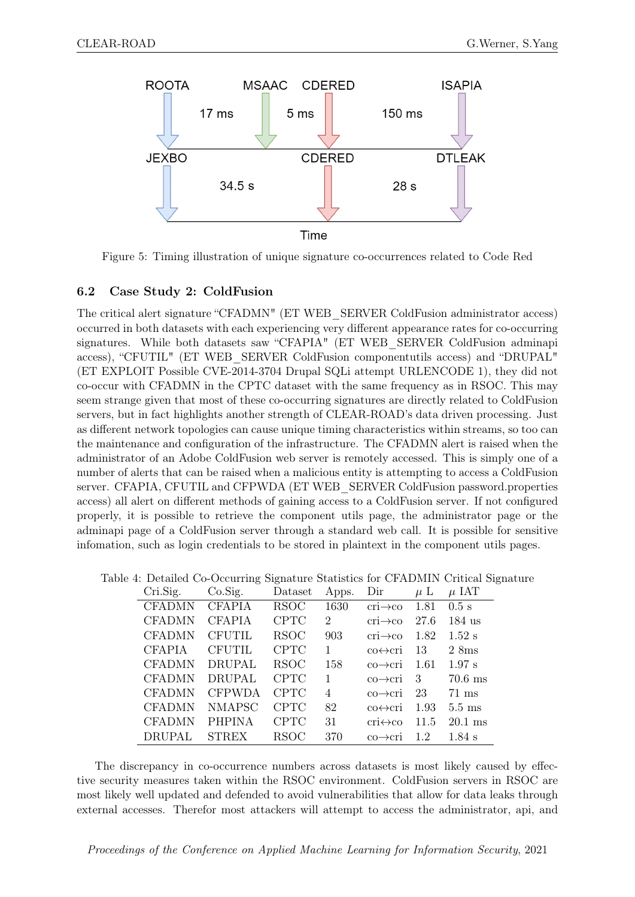

<span id="page-10-0"></span>Figure 5: Timing illustration of unique signature co-occurrences related to Code Red

### 6.2 Case Study 2: ColdFusion

The critical alert signature "CFADMN" (ET WEB\_SERVER ColdFusion administrator access) occurred in both datasets with each experiencing very different appearance rates for co-occurring signatures. While both datasets saw "CFAPIA" (ET WEB\_SERVER ColdFusion adminapi access), "CFUTIL" (ET WEB\_SERVER ColdFusion componentutils access) and "DRUPAL" (ET EXPLOIT Possible CVE-2014-3704 Drupal SQLi attempt URLENCODE 1), they did not co-occur with CFADMN in the CPTC dataset with the same frequency as in RSOC. This may seem strange given that most of these co-occurring signatures are directly related to ColdFusion servers, but in fact highlights another strength of CLEAR-ROAD's data driven processing. Just as different network topologies can cause unique timing characteristics within streams, so too can the maintenance and configuration of the infrastructure. The CFADMN alert is raised when the administrator of an Adobe ColdFusion web server is remotely accessed. This is simply one of a number of alerts that can be raised when a malicious entity is attempting to access a ColdFusion server. CFAPIA, CFUTIL and CFPWDA (ET WEB\_SERVER ColdFusion password.properties access) all alert on different methods of gaining access to a ColdFusion server. If not configured properly, it is possible to retrieve the component utils page, the administrator page or the adminapi page of a ColdFusion server through a standard web call. It is possible for sensitive infomation, such as login credentials to be stored in plaintext in the component utils pages.

|               |               |             |                |                           |         | ble 4. Detailed Co-Occurring Signature Statistics for CFADMIN Critical Signatu |
|---------------|---------------|-------------|----------------|---------------------------|---------|--------------------------------------------------------------------------------|
| Cri.Sig.      | Co.Sig.       | Dataset     | Apps.          | Dir                       | $\mu$ L | $\mu$ IAT                                                                      |
| <b>CFADMN</b> | <b>CFAPIA</b> | <b>RSOC</b> | 1630           | $\chi$ - $\rightarrow$ co | 1.81    | $0.5$ s                                                                        |
| <b>CFADMN</b> | <b>CFAPIA</b> | <b>CPTC</b> | $\overline{2}$ | $cri \rightarrow co$      | 27.6    | $184$ us                                                                       |
| <b>CFADMN</b> | <b>CFUTIL</b> | <b>RSOC</b> | 903            | $cri \rightarrow co$      | 1.82    | $1.52$ s                                                                       |
| <b>CFAPIA</b> | <b>CFUTIL</b> | <b>CPTC</b> | $\mathbf{1}$   | $co \leftrightarrow cri$  | 13      | $2 \, \mathrm{Sms}$                                                            |
| <b>CFADMN</b> | <b>DRUPAL</b> | <b>RSOC</b> | 158            | co⇒cri                    | 1.61    | $1.97$ s                                                                       |
| <b>CFADMN</b> | <b>DRUPAL</b> | <b>CPTC</b> | $\mathbf{1}$   | $co \rightarrow cri$      | - 3     | $70.6$ ms                                                                      |
| <b>CFADMN</b> | <b>CFPWDA</b> | <b>CPTC</b> | $\overline{4}$ | $co \rightarrow cri$      | 23      | $71 \text{ ms}$                                                                |
| <b>CFADMN</b> | <b>NMAPSC</b> | <b>CPTC</b> | 82             | $co \leftrightarrow cri$  | 1.93    | $5.5 \text{ ms}$                                                               |
| <b>CFADMN</b> | <b>PHPINA</b> | <b>CPTC</b> | 31             | $cri \leftrightarrow co$  | 11.5    | $20.1$ ms                                                                      |
| <b>DRUPAL</b> | <b>STREX</b>  | <b>RSOC</b> | 370            | $co \rightarrow cri$      | 1.2     | $1.84$ s                                                                       |
|               |               |             |                |                           |         |                                                                                |

Table 4: Detailed Co-Occurring Signature Statistics for CFADMIN Critical Signature

The discrepancy in co-occurrence numbers across datasets is most likely caused by effective security measures taken within the RSOC environment. ColdFusion servers in RSOC are most likely well updated and defended to avoid vulnerabilities that allow for data leaks through external accesses. Therefor most attackers will attempt to access the administrator, api, and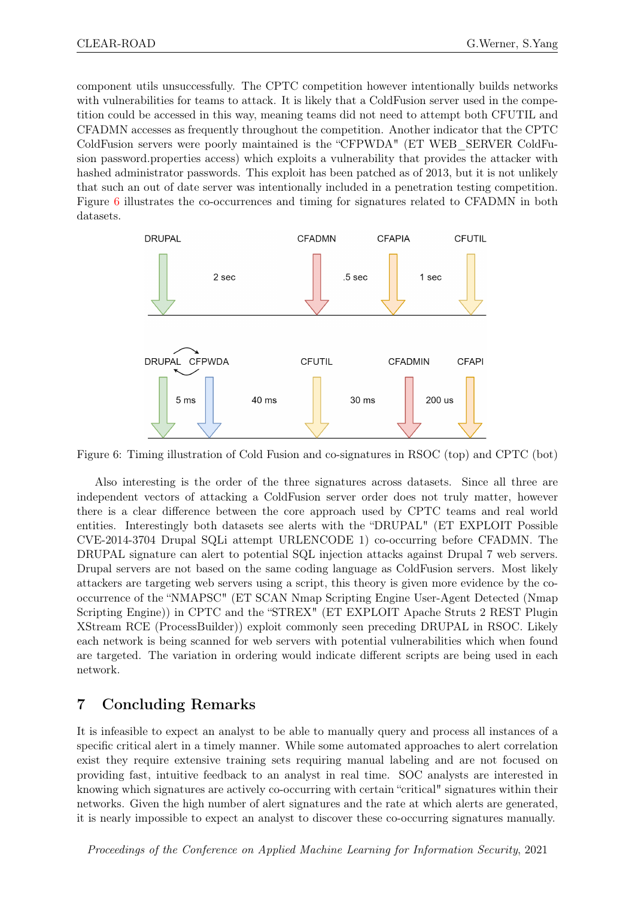component utils unsuccessfully. The CPTC competition however intentionally builds networks with vulnerabilities for teams to attack. It is likely that a ColdFusion server used in the competition could be accessed in this way, meaning teams did not need to attempt both CFUTIL and CFADMN accesses as frequently throughout the competition. Another indicator that the CPTC ColdFusion servers were poorly maintained is the "CFPWDA" (ET WEB\_SERVER ColdFusion password.properties access) which exploits a vulnerability that provides the attacker with hashed administrator passwords. This exploit has been patched as of 2013, but it is not unlikely that such an out of date server was intentionally included in a penetration testing competition. Figure [6](#page-11-0) illustrates the co-occurrences and timing for signatures related to CFADMN in both datasets.



<span id="page-11-0"></span>Figure 6: Timing illustration of Cold Fusion and co-signatures in RSOC (top) and CPTC (bot)

Also interesting is the order of the three signatures across datasets. Since all three are independent vectors of attacking a ColdFusion server order does not truly matter, however there is a clear difference between the core approach used by CPTC teams and real world entities. Interestingly both datasets see alerts with the "DRUPAL" (ET EXPLOIT Possible CVE-2014-3704 Drupal SQLi attempt URLENCODE 1) co-occurring before CFADMN. The DRUPAL signature can alert to potential SQL injection attacks against Drupal 7 web servers. Drupal servers are not based on the same coding language as ColdFusion servers. Most likely attackers are targeting web servers using a script, this theory is given more evidence by the cooccurrence of the "NMAPSC" (ET SCAN Nmap Scripting Engine User-Agent Detected (Nmap Scripting Engine)) in CPTC and the "STREX" (ET EXPLOIT Apache Struts 2 REST Plugin XStream RCE (ProcessBuilder)) exploit commonly seen preceding DRUPAL in RSOC. Likely each network is being scanned for web servers with potential vulnerabilities which when found are targeted. The variation in ordering would indicate different scripts are being used in each network.

## 7 Concluding Remarks

It is infeasible to expect an analyst to be able to manually query and process all instances of a specific critical alert in a timely manner. While some automated approaches to alert correlation exist they require extensive training sets requiring manual labeling and are not focused on providing fast, intuitive feedback to an analyst in real time. SOC analysts are interested in knowing which signatures are actively co-occurring with certain "critical" signatures within their networks. Given the high number of alert signatures and the rate at which alerts are generated, it is nearly impossible to expect an analyst to discover these co-occurring signatures manually.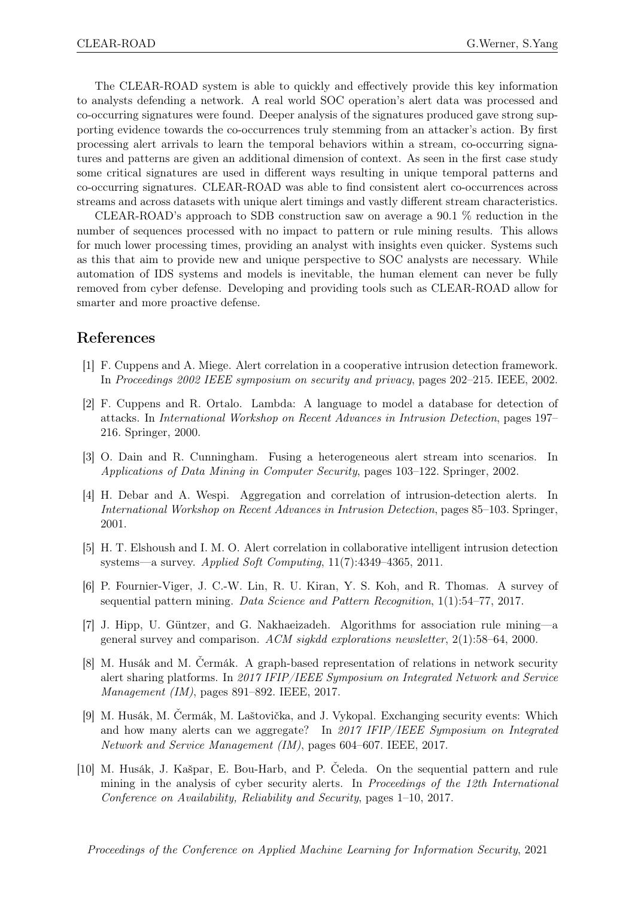The CLEAR-ROAD system is able to quickly and effectively provide this key information to analysts defending a network. A real world SOC operation's alert data was processed and co-occurring signatures were found. Deeper analysis of the signatures produced gave strong supporting evidence towards the co-occurrences truly stemming from an attacker's action. By first processing alert arrivals to learn the temporal behaviors within a stream, co-occurring signatures and patterns are given an additional dimension of context. As seen in the first case study some critical signatures are used in different ways resulting in unique temporal patterns and co-occurring signatures. CLEAR-ROAD was able to find consistent alert co-occurrences across streams and across datasets with unique alert timings and vastly different stream characteristics.

CLEAR-ROAD's approach to SDB construction saw on average a 90.1 % reduction in the number of sequences processed with no impact to pattern or rule mining results. This allows for much lower processing times, providing an analyst with insights even quicker. Systems such as this that aim to provide new and unique perspective to SOC analysts are necessary. While automation of IDS systems and models is inevitable, the human element can never be fully removed from cyber defense. Developing and providing tools such as CLEAR-ROAD allow for smarter and more proactive defense.

## References

- <span id="page-12-5"></span>[1] F. Cuppens and A. Miege. Alert correlation in a cooperative intrusion detection framework. In Proceedings 2002 IEEE symposium on security and privacy, pages 202–215. IEEE, 2002.
- <span id="page-12-3"></span>[2] F. Cuppens and R. Ortalo. Lambda: A language to model a database for detection of attacks. In International Workshop on Recent Advances in Intrusion Detection, pages 197– 216. Springer, 2000.
- <span id="page-12-4"></span>[3] O. Dain and R. Cunningham. Fusing a heterogeneous alert stream into scenarios. In Applications of Data Mining in Computer Security, pages 103–122. Springer, 2002.
- <span id="page-12-0"></span>[4] H. Debar and A. Wespi. Aggregation and correlation of intrusion-detection alerts. In International Workshop on Recent Advances in Intrusion Detection, pages 85–103. Springer, 2001.
- <span id="page-12-6"></span>[5] H. T. Elshoush and I. M. O. Alert correlation in collaborative intelligent intrusion detection systems—a survey. Applied Soft Computing, 11(7):4349–4365, 2011.
- <span id="page-12-8"></span>[6] P. Fournier-Viger, J. C.-W. Lin, R. U. Kiran, Y. S. Koh, and R. Thomas. A survey of sequential pattern mining. Data Science and Pattern Recognition, 1(1):54–77, 2017.
- <span id="page-12-9"></span>[7] J. Hipp, U. Güntzer, and G. Nakhaeizadeh. Algorithms for association rule mining—a general survey and comparison. ACM sigkdd explorations newsletter,  $2(1)$ :58–64, 2000.
- <span id="page-12-2"></span>[8] M. Husák and M. Čermák. A graph-based representation of relations in network security alert sharing platforms. In 2017 IFIP/IEEE Symposium on Integrated Network and Service Management (IM), pages 891–892. IEEE, 2017.
- <span id="page-12-1"></span>[9] M. Husák, M. Čermák, M. Laštovička, and J. Vykopal. Exchanging security events: Which and how many alerts can we aggregate? In 2017 IFIP/IEEE Symposium on Integrated Network and Service Management (IM), pages 604–607. IEEE, 2017.
- <span id="page-12-7"></span>[10] M. Husák, J. Kašpar, E. Bou-Harb, and P. Čeleda. On the sequential pattern and rule mining in the analysis of cyber security alerts. In *Proceedings of the 12th International* Conference on Availability, Reliability and Security, pages 1–10, 2017.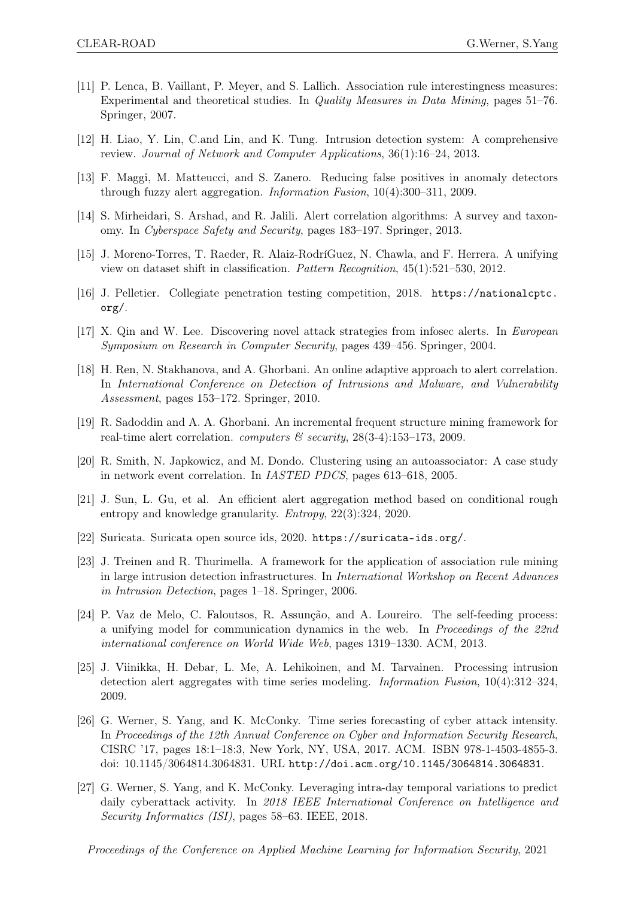- <span id="page-13-13"></span>[11] P. Lenca, B. Vaillant, P. Meyer, and S. Lallich. Association rule interestingness measures: Experimental and theoretical studies. In Quality Measures in Data Mining, pages 51–76. Springer, 2007.
- <span id="page-13-0"></span>[12] H. Liao, Y. Lin, C.and Lin, and K. Tung. Intrusion detection system: A comprehensive review. Journal of Network and Computer Applications, 36(1):16–24, 2013.
- <span id="page-13-1"></span>[13] F. Maggi, M. Matteucci, and S. Zanero. Reducing false positives in anomaly detectors through fuzzy alert aggregation. Information Fusion, 10(4):300–311, 2009.
- <span id="page-13-3"></span>[14] S. Mirheidari, S. Arshad, and R. Jalili. Alert correlation algorithms: A survey and taxonomy. In Cyberspace Safety and Security, pages 183–197. Springer, 2013.
- <span id="page-13-10"></span>[15] J. Moreno-Torres, T. Raeder, R. Alaiz-RodríGuez, N. Chawla, and F. Herrera. A unifying view on dataset shift in classification. Pattern Recognition, 45(1):521–530, 2012.
- <span id="page-13-16"></span>[16] J. Pelletier. Collegiate penetration testing competition, 2018. [https://nationalcptc.](https://nationalcptc.org/) [org/](https://nationalcptc.org/).
- <span id="page-13-6"></span>[17] X. Qin and W. Lee. Discovering novel attack strategies from infosec alerts. In European Symposium on Research in Computer Security, pages 439–456. Springer, 2004.
- <span id="page-13-4"></span>[18] H. Ren, N. Stakhanova, and A. Ghorbani. An online adaptive approach to alert correlation. In International Conference on Detection of Intrusions and Malware, and Vulnerability Assessment, pages 153–172. Springer, 2010.
- <span id="page-13-14"></span>[19] R. Sadoddin and A. A. Ghorbani. An incremental frequent structure mining framework for real-time alert correlation. *computers*  $\mathcal{B}$  security, 28(3-4):153-173, 2009.
- <span id="page-13-5"></span>[20] R. Smith, N. Japkowicz, and M. Dondo. Clustering using an autoassociator: A case study in network event correlation. In IASTED PDCS, pages 613–618, 2005.
- <span id="page-13-2"></span>[21] J. Sun, L. Gu, et al. An efficient alert aggregation method based on conditional rough entropy and knowledge granularity. Entropy, 22(3):324, 2020.
- <span id="page-13-15"></span>[22] Suricata. Suricata open source ids, 2020. <https://suricata-ids.org/>.
- <span id="page-13-12"></span>[23] J. Treinen and R. Thurimella. A framework for the application of association rule mining in large intrusion detection infrastructures. In International Workshop on Recent Advances in Intrusion Detection, pages 1–18. Springer, 2006.
- <span id="page-13-11"></span>[24] P. Vaz de Melo, C. Faloutsos, R. Assunção, and A. Loureiro. The self-feeding process: a unifying model for communication dynamics in the web. In Proceedings of the 22nd international conference on World Wide Web, pages 1319–1330. ACM, 2013.
- <span id="page-13-8"></span>[25] J. Viinikka, H. Debar, L. Me, A. Lehikoinen, and M. Tarvainen. Processing intrusion detection alert aggregates with time series modeling. Information Fusion, 10(4):312–324, 2009.
- <span id="page-13-7"></span>[26] G. Werner, S. Yang, and K. McConky. Time series forecasting of cyber attack intensity. In Proceedings of the 12th Annual Conference on Cyber and Information Security Research, CISRC '17, pages 18:1–18:3, New York, NY, USA, 2017. ACM. ISBN 978-1-4503-4855-3. doi: 10.1145/3064814.3064831. URL <http://doi.acm.org/10.1145/3064814.3064831>.
- <span id="page-13-9"></span>[27] G. Werner, S. Yang, and K. McConky. Leveraging intra-day temporal variations to predict daily cyberattack activity. In 2018 IEEE International Conference on Intelligence and Security Informatics (ISI), pages 58–63. IEEE, 2018.

Proceedings of the Conference on Applied Machine Learning for Information Security, 2021